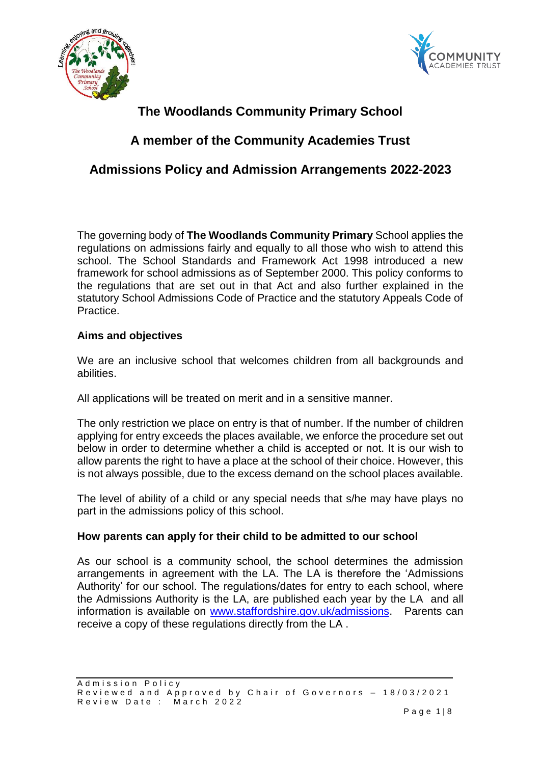



# **The Woodlands Community Primary School**

## **A member of the Community Academies Trust**

## **Admissions Policy and Admission Arrangements 2022-2023**

The governing body of **The Woodlands Community Primary** School applies the regulations on admissions fairly and equally to all those who wish to attend this school. The School Standards and Framework Act 1998 introduced a new framework for school admissions as of September 2000. This policy conforms to the regulations that are set out in that Act and also further explained in the statutory School Admissions Code of Practice and the statutory Appeals Code of Practice.

## **Aims and objectives**

We are an inclusive school that welcomes children from all backgrounds and abilities.

All applications will be treated on merit and in a sensitive manner.

The only restriction we place on entry is that of number. If the number of children applying for entry exceeds the places available, we enforce the procedure set out below in order to determine whether a child is accepted or not. It is our wish to allow parents the right to have a place at the school of their choice. However, this is not always possible, due to the excess demand on the school places available.

The level of ability of a child or any special needs that s/he may have plays no part in the admissions policy of this school.

## **How parents can apply for their child to be admitted to our school**

As our school is a community school, the school determines the admission arrangements in agreement with the LA. The LA is therefore the 'Admissions Authority' for our school. The regulations/dates for entry to each school, where the Admissions Authority is the LA, are published each year by the LA and all information is available on [www.staffordshire.gov.uk/admissions.](http://www.staffordshire.gov.uk/admissions) Parents can receive a copy of these regulations directly from the LA .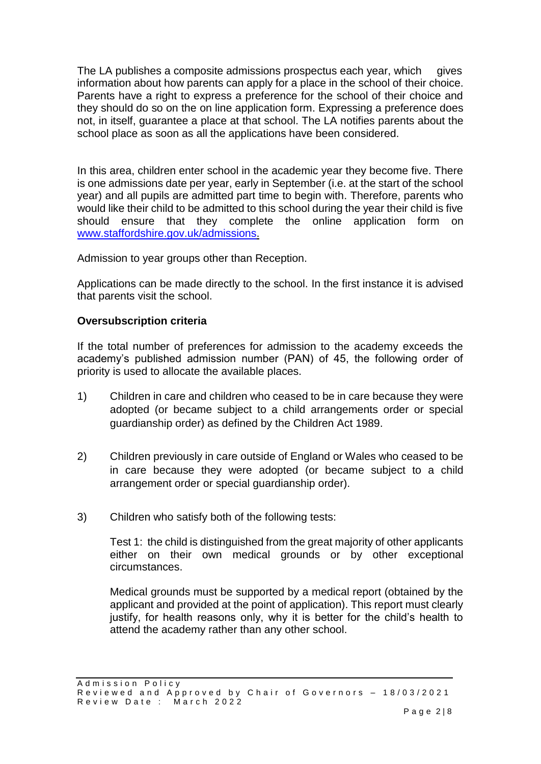The LA publishes a composite admissions prospectus each year, which gives information about how parents can apply for a place in the school of their choice. Parents have a right to express a preference for the school of their choice and they should do so on the on line application form. Expressing a preference does not, in itself, guarantee a place at that school. The LA notifies parents about the school place as soon as all the applications have been considered.

In this area, children enter school in the academic year they become five. There is one admissions date per year, early in September (i.e. at the start of the school year) and all pupils are admitted part time to begin with. Therefore, parents who would like their child to be admitted to this school during the year their child is five should ensure that they complete the online application form on [www.staffordshire.gov.uk/admissions.](http://www.staffordshire.gov.uk/admissions)

Admission to year groups other than Reception.

Applications can be made directly to the school. In the first instance it is advised that parents visit the school.

## **Oversubscription criteria**

If the total number of preferences for admission to the academy exceeds the academy's published admission number (PAN) of 45, the following order of priority is used to allocate the available places.

- 1) Children in care and children who ceased to be in care because they were adopted (or became subject to a child arrangements order or special guardianship order) as defined by the Children Act 1989.
- 2) Children previously in care outside of England or Wales who ceased to be in care because they were adopted (or became subject to a child arrangement order or special guardianship order).
- 3) Children who satisfy both of the following tests:

Test 1: the child is distinguished from the great majority of other applicants either on their own medical grounds or by other exceptional circumstances.

Medical grounds must be supported by a medical report (obtained by the applicant and provided at the point of application). This report must clearly justify, for health reasons only, why it is better for the child's health to attend the academy rather than any other school.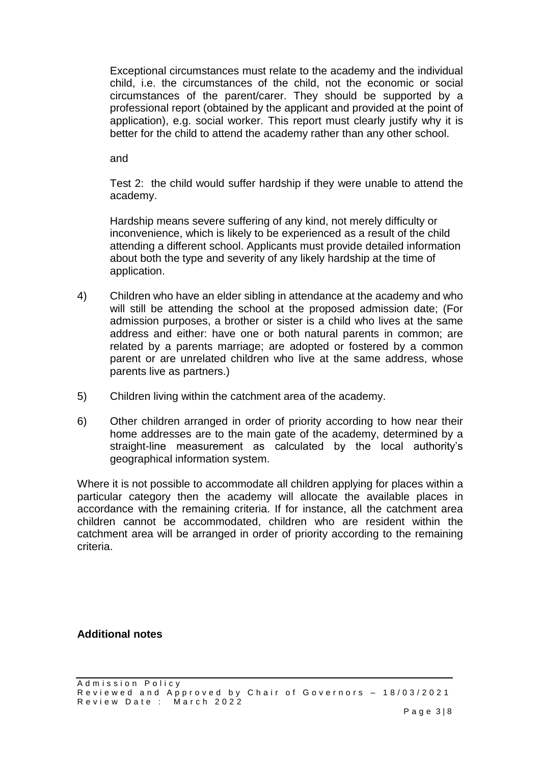Exceptional circumstances must relate to the academy and the individual child, i.e. the circumstances of the child, not the economic or social circumstances of the parent/carer. They should be supported by a professional report (obtained by the applicant and provided at the point of application), e.g. social worker. This report must clearly justify why it is better for the child to attend the academy rather than any other school.

and

Test 2: the child would suffer hardship if they were unable to attend the academy.

Hardship means severe suffering of any kind, not merely difficulty or inconvenience, which is likely to be experienced as a result of the child attending a different school. Applicants must provide detailed information about both the type and severity of any likely hardship at the time of application.

- 4) Children who have an elder sibling in attendance at the academy and who will still be attending the school at the proposed admission date; (For admission purposes, a brother or sister is a child who lives at the same address and either: have one or both natural parents in common; are related by a parents marriage; are adopted or fostered by a common parent or are unrelated children who live at the same address, whose parents live as partners.)
- 5) Children living within the catchment area of the academy.
- 6) Other children arranged in order of priority according to how near their home addresses are to the main gate of the academy, determined by a straight-line measurement as calculated by the local authority's geographical information system.

Where it is not possible to accommodate all children applying for places within a particular category then the academy will allocate the available places in accordance with the remaining criteria. If for instance, all the catchment area children cannot be accommodated, children who are resident within the catchment area will be arranged in order of priority according to the remaining criteria.

**Additional notes**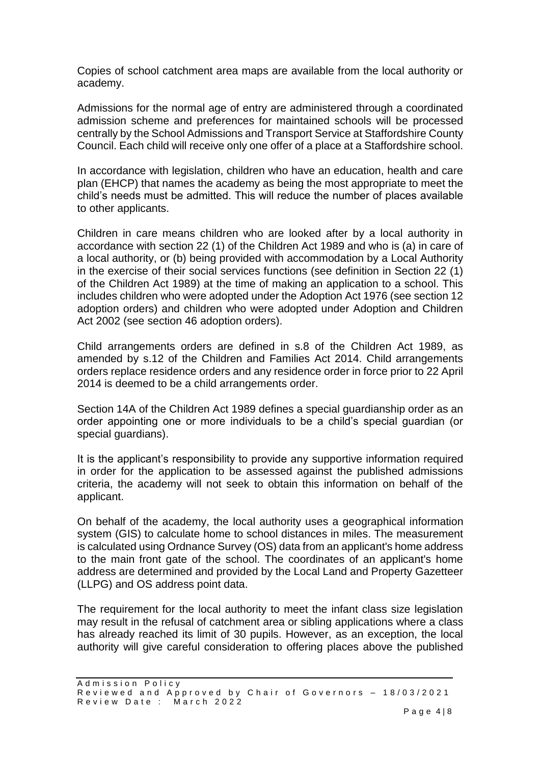Copies of school catchment area maps are available from the local authority or academy.

Admissions for the normal age of entry are administered through a coordinated admission scheme and preferences for maintained schools will be processed centrally by the School Admissions and Transport Service at Staffordshire County Council. Each child will receive only one offer of a place at a Staffordshire school.

In accordance with legislation, children who have an education, health and care plan (EHCP) that names the academy as being the most appropriate to meet the child's needs must be admitted. This will reduce the number of places available to other applicants.

Children in care means children who are looked after by a local authority in accordance with section 22 (1) of the Children Act 1989 and who is (a) in care of a local authority, or (b) being provided with accommodation by a Local Authority in the exercise of their social services functions (see definition in Section 22 (1) of the Children Act 1989) at the time of making an application to a school. This includes children who were adopted under the Adoption Act 1976 (see section 12 adoption orders) and children who were adopted under Adoption and Children Act 2002 (see section 46 adoption orders).

Child arrangements orders are defined in s.8 of the Children Act 1989, as amended by s.12 of the Children and Families Act 2014. Child arrangements orders replace residence orders and any residence order in force prior to 22 April 2014 is deemed to be a child arrangements order.

Section 14A of the Children Act 1989 defines a special guardianship order as an order appointing one or more individuals to be a child's special guardian (or special guardians).

It is the applicant's responsibility to provide any supportive information required in order for the application to be assessed against the published admissions criteria, the academy will not seek to obtain this information on behalf of the applicant.

On behalf of the academy, the local authority uses a geographical information system (GIS) to calculate home to school distances in miles. The measurement is calculated using Ordnance Survey (OS) data from an applicant's home address to the main front gate of the school. The coordinates of an applicant's home address are determined and provided by the Local Land and Property Gazetteer (LLPG) and OS address point data.

The requirement for the local authority to meet the infant class size legislation may result in the refusal of catchment area or sibling applications where a class has already reached its limit of 30 pupils. However, as an exception, the local authority will give careful consideration to offering places above the published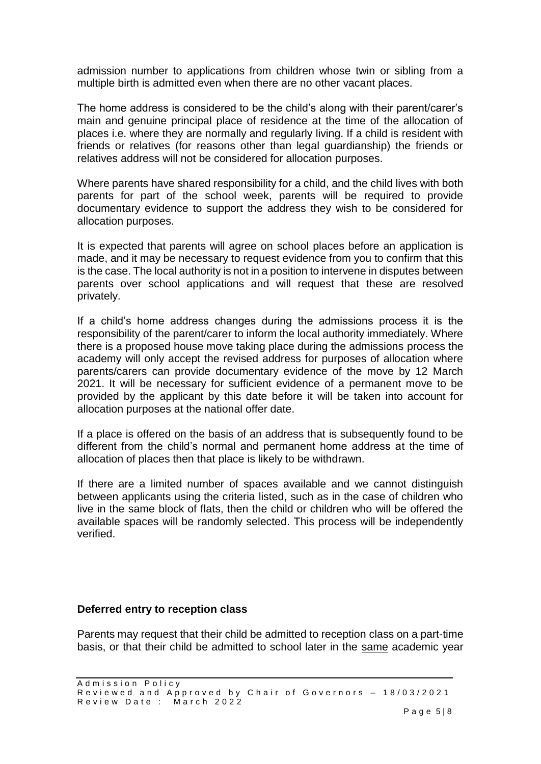admission number to applications from children whose twin or sibling from a multiple birth is admitted even when there are no other vacant places.

The home address is considered to be the child's along with their parent/carer's main and genuine principal place of residence at the time of the allocation of places i.e. where they are normally and regularly living. If a child is resident with friends or relatives (for reasons other than legal guardianship) the friends or relatives address will not be considered for allocation purposes.

Where parents have shared responsibility for a child, and the child lives with both parents for part of the school week, parents will be required to provide documentary evidence to support the address they wish to be considered for allocation purposes.

It is expected that parents will agree on school places before an application is made, and it may be necessary to request evidence from you to confirm that this is the case. The local authority is not in a position to intervene in disputes between parents over school applications and will request that these are resolved privately.

If a child's home address changes during the admissions process it is the responsibility of the parent/carer to inform the local authority immediately. Where there is a proposed house move taking place during the admissions process the academy will only accept the revised address for purposes of allocation where parents/carers can provide documentary evidence of the move by 12 March 2021. It will be necessary for sufficient evidence of a permanent move to be provided by the applicant by this date before it will be taken into account for allocation purposes at the national offer date.

If a place is offered on the basis of an address that is subsequently found to be different from the child's normal and permanent home address at the time of allocation of places then that place is likely to be withdrawn.

If there are a limited number of spaces available and we cannot distinguish between applicants using the criteria listed, such as in the case of children who live in the same block of flats, then the child or children who will be offered the available spaces will be randomly selected. This process will be independently verified.

### **Deferred entry to reception class**

Parents may request that their child be admitted to reception class on a part-time basis, or that their child be admitted to school later in the same academic year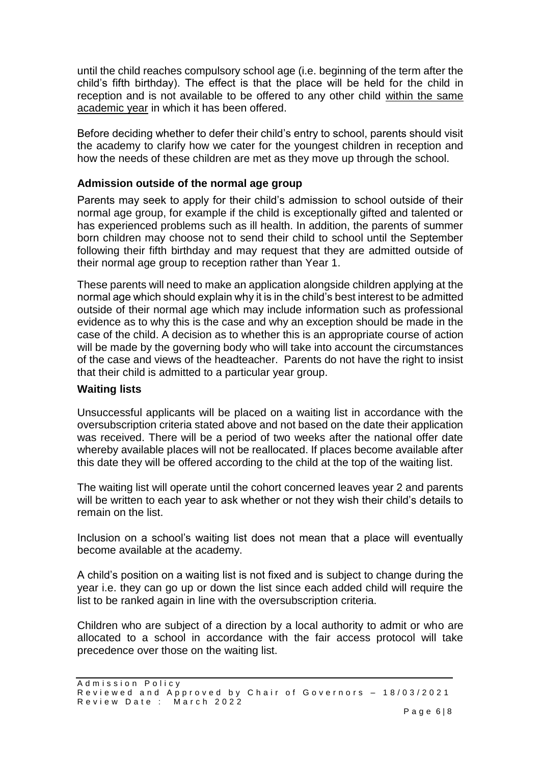until the child reaches compulsory school age (i.e. beginning of the term after the child's fifth birthday). The effect is that the place will be held for the child in reception and is not available to be offered to any other child within the same academic year in which it has been offered.

Before deciding whether to defer their child's entry to school, parents should visit the academy to clarify how we cater for the youngest children in reception and how the needs of these children are met as they move up through the school.

## **Admission outside of the normal age group**

Parents may seek to apply for their child's admission to school outside of their normal age group, for example if the child is exceptionally gifted and talented or has experienced problems such as ill health. In addition, the parents of summer born children may choose not to send their child to school until the September following their fifth birthday and may request that they are admitted outside of their normal age group to reception rather than Year 1.

These parents will need to make an application alongside children applying at the normal age which should explain why it is in the child's best interest to be admitted outside of their normal age which may include information such as professional evidence as to why this is the case and why an exception should be made in the case of the child. A decision as to whether this is an appropriate course of action will be made by the governing body who will take into account the circumstances of the case and views of the headteacher. Parents do not have the right to insist that their child is admitted to a particular year group.

### **Waiting lists**

Unsuccessful applicants will be placed on a waiting list in accordance with the oversubscription criteria stated above and not based on the date their application was received. There will be a period of two weeks after the national offer date whereby available places will not be reallocated. If places become available after this date they will be offered according to the child at the top of the waiting list.

The waiting list will operate until the cohort concerned leaves year 2 and parents will be written to each year to ask whether or not they wish their child's details to remain on the list.

Inclusion on a school's waiting list does not mean that a place will eventually become available at the academy.

A child's position on a waiting list is not fixed and is subject to change during the year i.e. they can go up or down the list since each added child will require the list to be ranked again in line with the oversubscription criteria.

Children who are subject of a direction by a local authority to admit or who are allocated to a school in accordance with the fair access protocol will take precedence over those on the waiting list.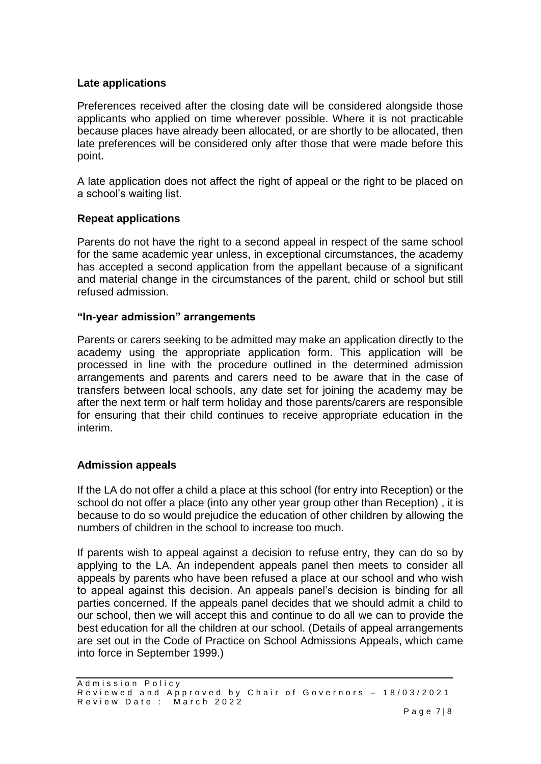## **Late applications**

Preferences received after the closing date will be considered alongside those applicants who applied on time wherever possible. Where it is not practicable because places have already been allocated, or are shortly to be allocated, then late preferences will be considered only after those that were made before this point.

A late application does not affect the right of appeal or the right to be placed on a school's waiting list.

## **Repeat applications**

Parents do not have the right to a second appeal in respect of the same school for the same academic year unless, in exceptional circumstances, the academy has accepted a second application from the appellant because of a significant and material change in the circumstances of the parent, child or school but still refused admission.

#### **"In-year admission" arrangements**

Parents or carers seeking to be admitted may make an application directly to the academy using the appropriate application form. This application will be processed in line with the procedure outlined in the determined admission arrangements and parents and carers need to be aware that in the case of transfers between local schools, any date set for joining the academy may be after the next term or half term holiday and those parents/carers are responsible for ensuring that their child continues to receive appropriate education in the interim.

### **Admission appeals**

If the LA do not offer a child a place at this school (for entry into Reception) or the school do not offer a place (into any other year group other than Reception) , it is because to do so would prejudice the education of other children by allowing the numbers of children in the school to increase too much.

If parents wish to appeal against a decision to refuse entry, they can do so by applying to the LA. An independent appeals panel then meets to consider all appeals by parents who have been refused a place at our school and who wish to appeal against this decision. An appeals panel's decision is binding for all parties concerned. If the appeals panel decides that we should admit a child to our school, then we will accept this and continue to do all we can to provide the best education for all the children at our school. (Details of appeal arrangements are set out in the Code of Practice on School Admissions Appeals, which came into force in September 1999.)